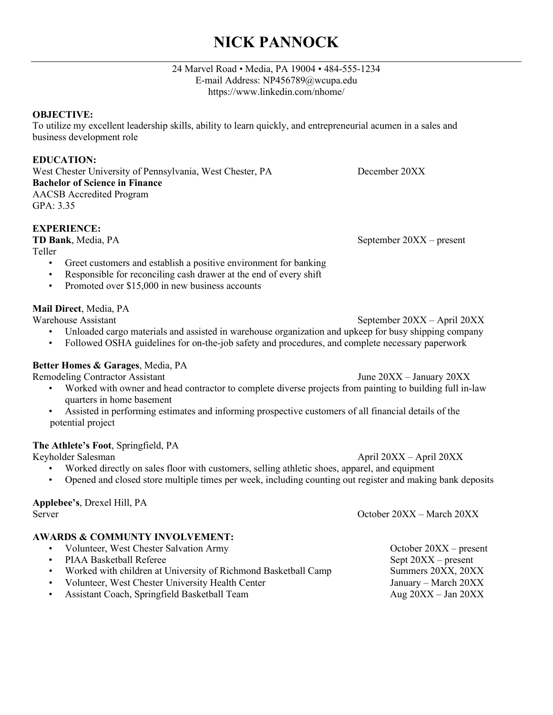# **NICK PANNOCK**

#### 24 Marvel Road • Media, PA 19004 • 484-555-1234 E-mail Address: [NP456789@wcupa.edu](mailto:NP456789@wcupa.edu) <https://www.linkedin.com/nhome/>

#### **OBJECTIVE:**

To utilize my excellent leadership skills, ability to learn quickly, and entrepreneurial acumen in a sales and business development role

### **EDUCATION:**

West Chester University of Pennsylvania, West Chester, PA December 20XX **Bachelor of Science in Finance** AACSB Accredited Program GPA: 3.35

### **EXPERIENCE:**

Teller

- Greet customers and establish a positive environment for banking
- Responsible for reconciling cash drawer at the end of every shift
- Promoted over \$15,000 in new business accounts

### **Mail Direct**, Media, PA

Warehouse Assistant September 20XX – April 20XX

- Unloaded cargo materials and assisted in warehouse organization and upkeep for busy shipping company
- Followed OSHA guidelines for on-the-job safety and procedures, and complete necessary paperwork

#### **Better Homes & Garages**, Media, PA

Remodeling Contractor Assistant Tune 20XX – January 20XX

- Worked with owner and head contractor to complete diverse projects from painting to building full in-law quarters in home basement
- Assisted in performing estimates and informing prospective customers of all financial details of the potential project

#### **The Athlete's Foot**, Springfield, PA

Keyholder Salesman April 20XX – April 20XX – April 20XX – April 20XX – April 20XX – April 20XX – April 20XX – April 20XX – April 20XX – April 20XX – April 20XX – April 20XX – April 20XX – April 20XX – April 20XX – April 20

- Worked directly on sales floor with customers, selling athletic shoes, apparel, and equipment
- Opened and closed store multiple times per week, including counting out register and making bank deposits

## **Applebee's**, Drexel Hill, PA

#### **AWARDS & COMMUNTY INVOLVEMENT:**

- Volunteer, West Chester Salvation Army October 20XX present PIAA Basketball Referee Sept 20XX – present • Worked with children at University of Richmond Basketball Camp Summers 20XX, 20XX • Volunteer, West Chester University Health Center January – March 20XX
- Assistant Coach, Springfield Basketball Team Aug 20XX Jan 20XX

**TD Bank**, Media, PA September 20XX – present

Server Contract Contract Contract Contract Contract Contract Contract Contract Contract Contract Contract Contract Contract Contract Contract Contract Contract Contract Contract Contract Contract Contract Contract Contract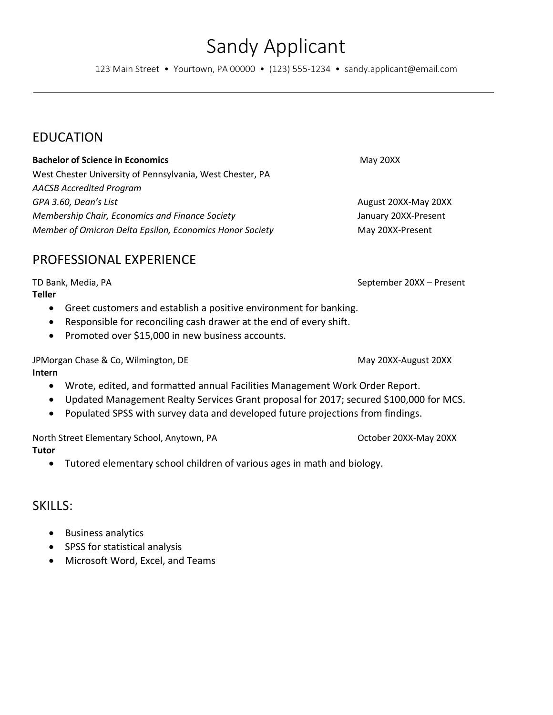Sandy Applicant 123 Main Street • Yourtown, PA 00000 • (123) 555-1234 • sandy.applicant@email.com

# EDUCATION

### **Bachelor of Science in Economics** May 20XX

West Chester University of Pennsylvania, West Chester, PA *AACSB Accredited Program GPA 3.60, Dean's List* **August 20XX-May 20XX August 20XX-May 20XX** *Membership Chair, Economics and Finance Society* January 20XX-Present *Member of Omicron Delta Epsilon, Economics Honor Society* **May 20XX-Present** 

PROFESSIONAL EXPERIENCE

**Teller**

- Greet customers and establish a positive environment for banking.
- Responsible for reconciling cash drawer at the end of every shift.
- Promoted over \$15,000 in new business accounts.

JPMorgan Chase & Co, Wilmington, DE May 20XX-August 20XX-August 20XX **Intern** 

- Wrote, edited, and formatted annual Facilities Management Work Order Report.
- Updated Management Realty Services Grant proposal for 2017; secured \$100,000 for MCS.
- Populated SPSS with survey data and developed future projections from findings.

North Street Elementary School, Anytown, PA Controlled Market Controlled Market 20XX-May 20XX **Tutor**

• Tutored elementary school children of various ages in math and biology.

## SKILLS:

- Business analytics
- SPSS for statistical analysis
- Microsoft Word, Excel, and Teams

TD Bank, Media, PA September 20XX – Present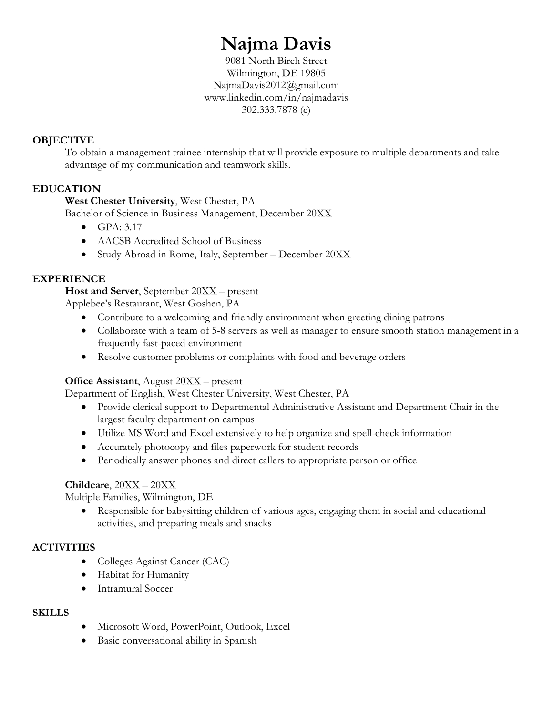# **Najma Davis**

9081 North Birch Street Wilmington, DE 19805 NajmaDavis2012@gmail.com www.linkedin.com/in/najmadavis 302.333.7878 (c)

### **OBJECTIVE**

To obtain a management trainee internship that will provide exposure to multiple departments and take advantage of my communication and teamwork skills.

## **EDUCATION**

**West Chester University**, West Chester, PA

Bachelor of Science in Business Management, December 20XX

- $GPA: 3.17$
- AACSB Accredited School of Business
- Study Abroad in Rome, Italy, September December 20XX

### **EXPERIENCE**

**Host and Server**, September 20XX – present

Applebee's Restaurant, West Goshen, PA

- Contribute to a welcoming and friendly environment when greeting dining patrons
- Collaborate with a team of 5-8 servers as well as manager to ensure smooth station management in a frequently fast-paced environment
- Resolve customer problems or complaints with food and beverage orders

### **Office Assistant**, August 20XX – present

Department of English, West Chester University, West Chester, PA

- Provide clerical support to Departmental Administrative Assistant and Department Chair in the largest faculty department on campus
- Utilize MS Word and Excel extensively to help organize and spell-check information
- Accurately photocopy and files paperwork for student records
- Periodically answer phones and direct callers to appropriate person or office

#### **Childcare**, 20XX – 20XX

Multiple Families, Wilmington, DE

• Responsible for babysitting children of various ages, engaging them in social and educational activities, and preparing meals and snacks

### **ACTIVITIES**

- Colleges Against Cancer (CAC)
- Habitat for Humanity
- Intramural Soccer

### **SKILLS**

- Microsoft Word, PowerPoint, Outlook, Excel
- Basic conversational ability in Spanish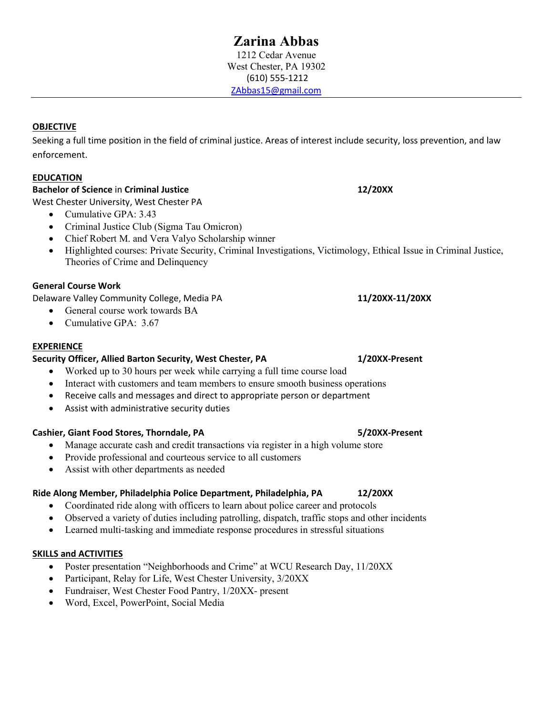1212 Cedar Avenue West Chester, PA 19302 (610) 555-1212 [ZAbbas15@gmail.com](mailto:ZAbbas15@gmail.com)

#### **OBJECTIVE**

Seeking a full time position in the field of criminal justice. Areas of interest include security, loss prevention, and law enforcement.

#### **EDUCATION**

### **Bachelor of Science** in **Criminal Justice 12/20XX**

West Chester University, West Chester PA

- Cumulative GPA: 3.43
- Criminal Justice Club (Sigma Tau Omicron)
- Chief Robert M. and Vera Valyo Scholarship winner
- Highlighted courses: Private Security, Criminal Investigations, Victimology, Ethical Issue in Criminal Justice, Theories of Crime and Delinquency

#### **General Course Work**

Delaware Valley Community College, Media PA **11/20XX-11/20XX**

- General course work towards BA
- Cumulative GPA: 3.67

#### **EXPERIENCE**

#### **Security Officer, Allied Barton Security, West Chester, PA 1/20XX-Present**

- Worked up to 30 hours per week while carrying a full time course load
- Interact with customers and team members to ensure smooth business operations
- Receive calls and messages and direct to appropriate person or department
- Assist with administrative security duties

#### **Cashier, Giant Food Stores, Thorndale, PA 5/20XX-Present**

- Manage accurate cash and credit transactions via register in a high volume store
- Provide professional and courteous service to all customers
- Assist with other departments as needed

#### **Ride Along Member, Philadelphia Police Department, Philadelphia, PA 12/20XX**

- Coordinated ride along with officers to learn about police career and protocols
- Observed a variety of duties including patrolling, dispatch, traffic stops and other incidents
- Learned multi-tasking and immediate response procedures in stressful situations

#### **SKILLS and ACTIVITIES**

- Poster presentation "Neighborhoods and Crime" at WCU Research Day, 11/20XX
- Participant, Relay for Life, West Chester University,  $3/20XX$
- Fundraiser, West Chester Food Pantry, 1/20XX- present
- Word, Excel, PowerPoint, Social Media

**Zarina Abbas**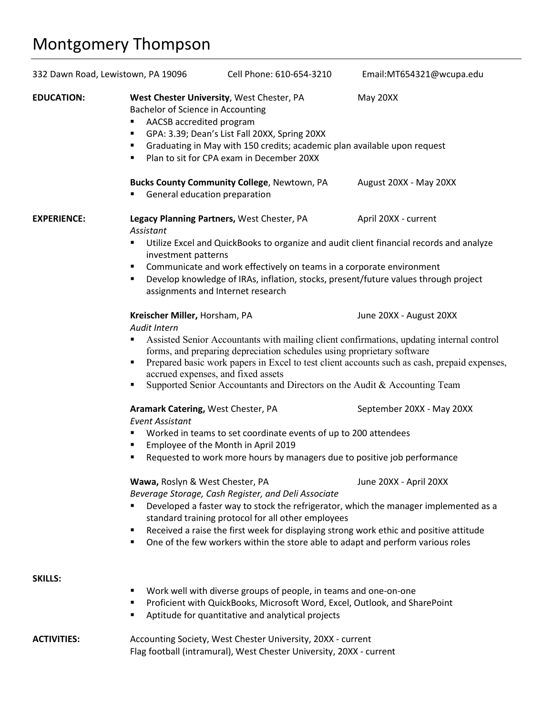# Montgomery Thompson

| 332 Dawn Road, Lewistown, PA 19096 |                                                                                                                                                                                                                                                                                                                                                                                                                                                       | Cell Phone: 610-654-3210                           | Email:MT654321@wcupa.edu  |
|------------------------------------|-------------------------------------------------------------------------------------------------------------------------------------------------------------------------------------------------------------------------------------------------------------------------------------------------------------------------------------------------------------------------------------------------------------------------------------------------------|----------------------------------------------------|---------------------------|
| <b>EDUCATION:</b>                  | West Chester University, West Chester, PA<br>May 20XX<br>Bachelor of Science in Accounting<br>AACSB accredited program<br>٠<br>GPA: 3.39; Dean's List Fall 20XX, Spring 20XX<br>٠<br>Graduating in May with 150 credits; academic plan available upon request<br>٠<br>Plan to sit for CPA exam in December 20XX<br>٠                                                                                                                                  |                                                    |                           |
|                                    | General education preparation<br>٠                                                                                                                                                                                                                                                                                                                                                                                                                    | <b>Bucks County Community College, Newtown, PA</b> | August 20XX - May 20XX    |
| <b>EXPERIENCE:</b>                 | Assistant                                                                                                                                                                                                                                                                                                                                                                                                                                             | Legacy Planning Partners, West Chester, PA         | April 20XX - current      |
|                                    | Utilize Excel and QuickBooks to organize and audit client financial records and analyze<br>٠<br>investment patterns<br>Communicate and work effectively on teams in a corporate environment<br>٠<br>Develop knowledge of IRAs, inflation, stocks, present/future values through project<br>٠<br>assignments and Internet research                                                                                                                     |                                                    |                           |
|                                    | Kreischer Miller, Horsham, PA<br>Audit Intern                                                                                                                                                                                                                                                                                                                                                                                                         |                                                    | June 20XX - August 20XX   |
|                                    | Assisted Senior Accountants with mailing client confirmations, updating internal control<br>٠<br>forms, and preparing depreciation schedules using proprietary software<br>Prepared basic work papers in Excel to test client accounts such as cash, prepaid expenses,<br>٠<br>accrued expenses, and fixed assets<br>Supported Senior Accountants and Directors on the Audit & Accounting Team<br>٠                                                   |                                                    |                           |
|                                    | Aramark Catering, West Chester, PA<br><b>Event Assistant</b>                                                                                                                                                                                                                                                                                                                                                                                          |                                                    | September 20XX - May 20XX |
|                                    | Worked in teams to set coordinate events of up to 200 attendees<br>٠<br>Employee of the Month in April 2019<br>٠<br>Requested to work more hours by managers due to positive job performance                                                                                                                                                                                                                                                          |                                                    |                           |
|                                    | ٠                                                                                                                                                                                                                                                                                                                                                                                                                                                     |                                                    |                           |
|                                    | Wawa, Roslyn & West Chester, PA<br>June 20XX - April 20XX<br>Beverage Storage, Cash Register, and Deli Associate<br>Developed a faster way to stock the refrigerator, which the manager implemented as a<br>standard training protocol for all other employees<br>Received a raise the first week for displaying strong work ethic and positive attitude<br>٠<br>One of the few workers within the store able to adapt and perform various roles<br>٠ |                                                    |                           |
| <b>SKILLS:</b>                     | Work well with diverse groups of people, in teams and one-on-one<br>٠<br>Proficient with QuickBooks, Microsoft Word, Excel, Outlook, and SharePoint<br>п<br>Aptitude for quantitative and analytical projects<br>٠                                                                                                                                                                                                                                    |                                                    |                           |
| <b>ACTIVITIES:</b>                 | Accounting Society, West Chester University, 20XX - current<br>Flag football (intramural), West Chester University, 20XX - current                                                                                                                                                                                                                                                                                                                    |                                                    |                           |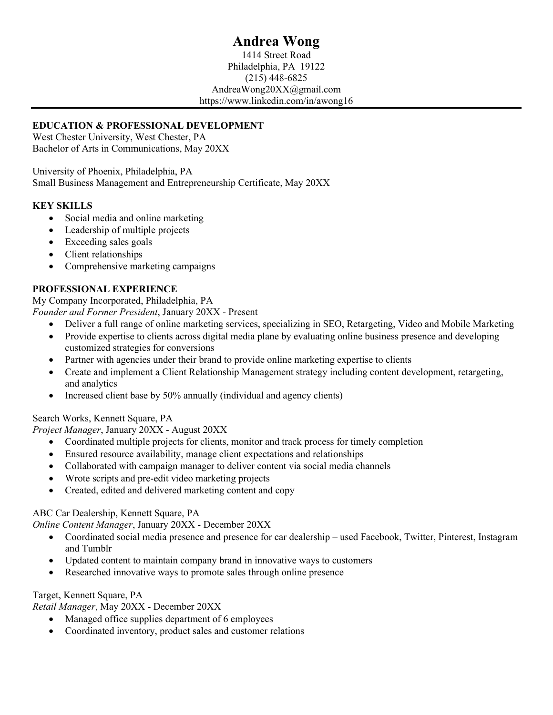# **Andrea Wong**

1414 Street Road Philadelphia, PA 19122 (215) 448-6825 AndreaWong20XX@gmail.com https://www.linkedin.com/in/awong16

### **EDUCATION & PROFESSIONAL DEVELOPMENT**

West Chester University, West Chester, PA Bachelor of Arts in Communications, May 20XX

University of Phoenix, Philadelphia, PA Small Business Management and Entrepreneurship Certificate, May 20XX

### **KEY SKILLS**

- Social media and online marketing
- Leadership of multiple projects
- Exceeding sales goals
- Client relationships
- Comprehensive marketing campaigns

#### **PROFESSIONAL EXPERIENCE**

My Company Incorporated, Philadelphia, PA *Founder and Former President*, January 20XX - Present

- Deliver a full range of online marketing services, specializing in SEO, Retargeting, Video and Mobile Marketing
- Provide expertise to clients across digital media plane by evaluating online business presence and developing customized strategies for conversions
- Partner with agencies under their brand to provide online marketing expertise to clients
- Create and implement a Client Relationship Management strategy including content development, retargeting, and analytics
- Increased client base by 50% annually (individual and agency clients)

#### Search Works, Kennett Square, PA

*Project Manager*, January 20XX - August 20XX

- Coordinated multiple projects for clients, monitor and track process for timely completion
- Ensured resource availability, manage client expectations and relationships
- Collaborated with campaign manager to deliver content via social media channels
- Wrote scripts and pre-edit video marketing projects
- Created, edited and delivered marketing content and copy

#### ABC Car Dealership, Kennett Square, PA

*Online Content Manager*, January 20XX - December 20XX

- Coordinated social media presence and presence for car dealership used Facebook, Twitter, Pinterest, Instagram and Tumblr
- Updated content to maintain company brand in innovative ways to customers
- Researched innovative ways to promote sales through online presence

#### Target, Kennett Square, PA

*Retail Manager*, May 20XX - December 20XX

- Managed office supplies department of 6 employees
- Coordinated inventory, product sales and customer relations